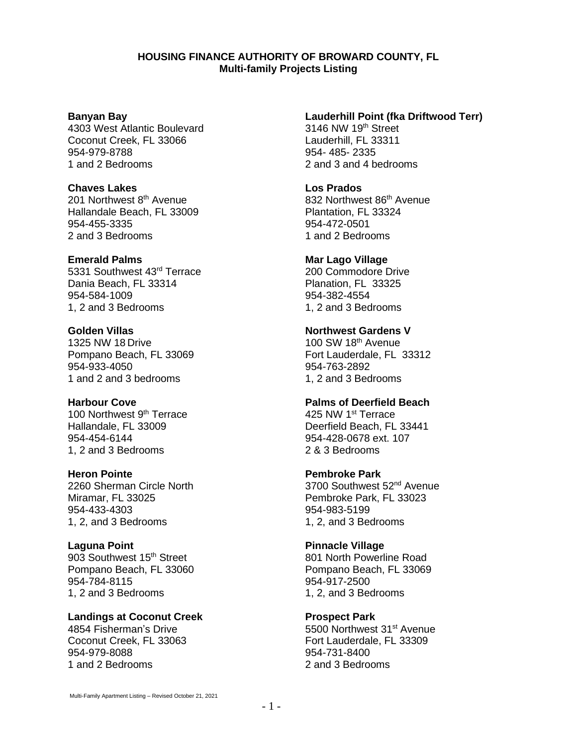#### **HOUSING FINANCE AUTHORITY OF BROWARD COUNTY, FL Multi-family Projects Listing**

#### **Banyan Bay**

4303 West Atlantic Boulevard Coconut Creek, FL 33066 954-979-8788 1 and 2 Bedrooms

# **Chaves Lakes**

201 Northwest 8<sup>th</sup> Avenue Hallandale Beach, FL 33009 954-455-3335 2 and 3 Bedrooms

# **Emerald Palms**

5331 Southwest 43rd Terrace Dania Beach, FL 33314 954-584-1009 1, 2 and 3 Bedrooms

**Golden Villas** 1325 NW 18 Drive Pompano Beach, FL 33069 954-933-4050 1 and 2 and 3 bedrooms

# **Harbour Cove**

100 Northwest 9<sup>th</sup> Terrace Hallandale, FL 33009 954-454-6144 1, 2 and 3 Bedrooms

# **Heron Pointe**

2260 Sherman Circle North Miramar, FL 33025 954-433-4303 1, 2, and 3 Bedrooms

#### **Laguna Point**

903 Southwest 15<sup>th</sup> Street Pompano Beach, FL 33060 954-784-8115 1, 2 and 3 Bedrooms

# **Landings at Coconut Creek**

4854 Fisherman's Drive Coconut Creek, FL 33063 954-979-8088 1 and 2 Bedrooms

# **Lauderhill Point (fka Driftwood Terr)**

3146 NW 19<sup>th</sup> Street Lauderhill, FL 33311 954- 485- 2335 2 and 3 and 4 bedrooms

#### **Los Prados** 832 Northwest 86<sup>th</sup> Avenue Plantation, FL 33324 954-472-0501 1 and 2 Bedrooms

**Mar Lago Village** 200 Commodore Drive Planation, FL 33325 954-382-4554 1, 2 and 3 Bedrooms

# **Northwest Gardens V**

100 SW 18th Avenue Fort Lauderdale, FL 33312 954-763-2892 1, 2 and 3 Bedrooms

# **Palms of Deerfield Beach**

425 NW 1<sup>st</sup> Terrace Deerfield Beach, FL 33441 954-428-0678 ext. 107 2 & 3 Bedrooms

# **Pembroke Park**

3700 Southwest 52<sup>nd</sup> Avenue Pembroke Park, FL 33023 954-983-5199 1, 2, and 3 Bedrooms

# **Pinnacle Village**

801 North Powerline Road Pompano Beach, FL 33069 954-917-2500 1, 2, and 3 Bedrooms

# **Prospect Park**

5500 Northwest 31<sup>st</sup> Avenue Fort Lauderdale, FL 33309 954-731-8400 2 and 3 Bedrooms

Multi-Family Apartment Listing – Revised October 21, 2021